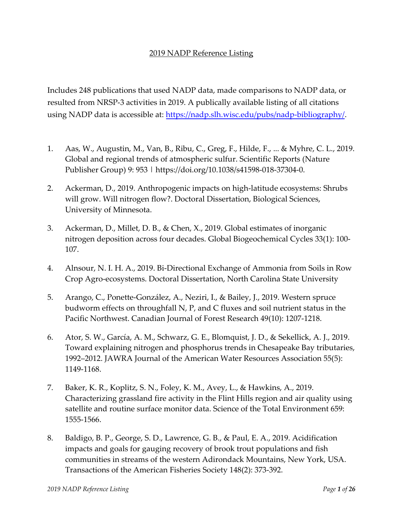## 2019 NADP Reference Listing

Includes 248 publications that used NADP data, made comparisons to NADP data, or resulted from NRSP-3 activities in 2019. A publically available listing of all citations using NADP data is accessible at: <https://nadp.slh.wisc.edu/pubs/nadp-bibliography/>.

- 1. Aas, W., Augustin, M., Van, B., Ribu, C., Greg, F., Hilde, F., ... & Myhre, C. L., 2019. Global and regional trends of atmospheric sulfur. Scientific Reports (Nature Publisher Group) 9: 953 | https://doi.org/10.1038/s41598-018-37304-0.
- 2. Ackerman, D., 2019. Anthropogenic impacts on high-latitude ecosystems: Shrubs will grow. Will nitrogen flow?. Doctoral Dissertation, Biological Sciences, University of Minnesota.
- 3. Ackerman, D., Millet, D. B., & Chen, X., 2019. Global estimates of inorganic nitrogen deposition across four decades. Global Biogeochemical Cycles 33(1): 100- 107.
- 4. Alnsour, N. I. H. A., 2019. Bi-Directional Exchange of Ammonia from Soils in Row Crop Agro-ecosystems. Doctoral Dissertation, North Carolina State University
- 5. Arango, C., Ponette-González, A., Neziri, I., & Bailey, J., 2019. Western spruce budworm effects on throughfall N, P, and C fluxes and soil nutrient status in the Pacific Northwest. Canadian Journal of Forest Research 49(10): 1207-1218.
- 6. Ator, S. W., García, A. M., Schwarz, G. E., Blomquist, J. D., & Sekellick, A. J., 2019. Toward explaining nitrogen and phosphorus trends in Chesapeake Bay tributaries, 1992–2012. JAWRA Journal of the American Water Resources Association 55(5): 1149-1168.
- 7. Baker, K. R., Koplitz, S. N., Foley, K. M., Avey, L., & Hawkins, A., 2019. Characterizing grassland fire activity in the Flint Hills region and air quality using satellite and routine surface monitor data. Science of the Total Environment 659: 1555-1566.
- 8. Baldigo, B. P., George, S. D., Lawrence, G. B., & Paul, E. A., 2019. Acidification impacts and goals for gauging recovery of brook trout populations and fish communities in streams of the western Adirondack Mountains, New York, USA. Transactions of the American Fisheries Society 148(2): 373-392.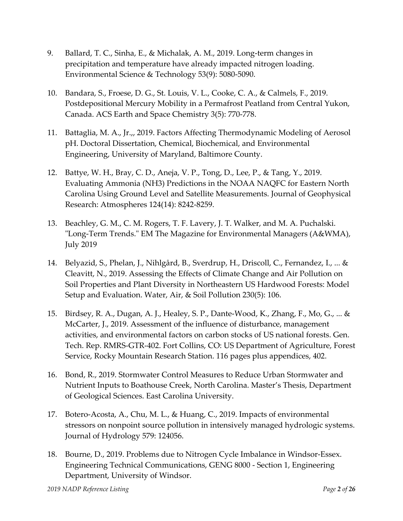- 9. Ballard, T. C., Sinha, E., & Michalak, A. M., 2019. Long-term changes in precipitation and temperature have already impacted nitrogen loading. Environmental Science & Technology 53(9): 5080-5090.
- 10. Bandara, S., Froese, D. G., St. Louis, V. L., Cooke, C. A., & Calmels, F., 2019. Postdepositional Mercury Mobility in a Permafrost Peatland from Central Yukon, Canada. ACS Earth and Space Chemistry 3(5): 770-778.
- 11. Battaglia, M. A., Jr.,, 2019. Factors Affecting Thermodynamic Modeling of Aerosol pH. Doctoral Dissertation, Chemical, Biochemical, and Environmental Engineering, University of Maryland, Baltimore County.
- 12. Battye, W. H., Bray, C. D., Aneja, V. P., Tong, D., Lee, P., & Tang, Y., 2019. Evaluating Ammonia (NH3) Predictions in the NOAA NAQFC for Eastern North Carolina Using Ground Level and Satellite Measurements. Journal of Geophysical Research: Atmospheres 124(14): 8242-8259.
- 13. Beachley, G. M., C. M. Rogers, T. F. Lavery, J. T. Walker, and M. A. Puchalski. "Long-Term Trends." EM The Magazine for Environmental Managers (A&WMA), July 2019
- 14. Belyazid, S., Phelan, J., Nihlgård, B., Sverdrup, H., Driscoll, C., Fernandez, I., ... & Cleavitt, N., 2019. Assessing the Effects of Climate Change and Air Pollution on Soil Properties and Plant Diversity in Northeastern US Hardwood Forests: Model Setup and Evaluation. Water, Air, & Soil Pollution 230(5): 106.
- 15. Birdsey, R. A., Dugan, A. J., Healey, S. P., Dante-Wood, K., Zhang, F., Mo, G., ... & McCarter, J., 2019. Assessment of the influence of disturbance, management activities, and environmental factors on carbon stocks of US national forests. Gen. Tech. Rep. RMRS-GTR-402. Fort Collins, CO: US Department of Agriculture, Forest Service, Rocky Mountain Research Station. 116 pages plus appendices, 402.
- 16. Bond, R., 2019. Stormwater Control Measures to Reduce Urban Stormwater and Nutrient Inputs to Boathouse Creek, North Carolina. Master's Thesis, Department of Geological Sciences. East Carolina University.
- 17. Botero-Acosta, A., Chu, M. L., & Huang, C., 2019. Impacts of environmental stressors on nonpoint source pollution in intensively managed hydrologic systems. Journal of Hydrology 579: 124056.
- 18. Bourne, D., 2019. Problems due to Nitrogen Cycle Imbalance in Windsor-Essex. Engineering Technical Communications, GENG 8000 - Section 1, Engineering Department, University of Windsor.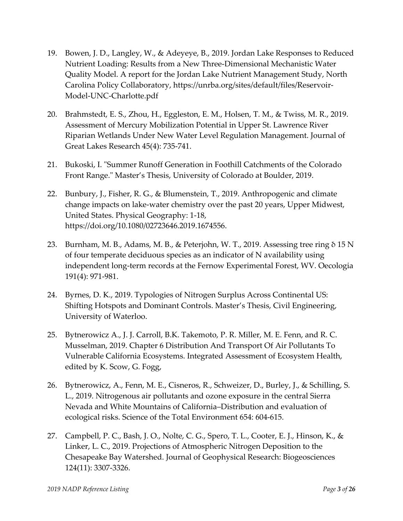- 19. Bowen, J. D., Langley, W., & Adeyeye, B., 2019. Jordan Lake Responses to Reduced Nutrient Loading: Results from a New Three-Dimensional Mechanistic Water Quality Model. A report for the Jordan Lake Nutrient Management Study, North Carolina Policy Collaboratory, [https://unrba.org/sites/default/files/Reservoir-](https://unrba.org/sites/default/files/Reservoir-Model-UNC-Charlotte.pdf)[Model-UNC-Charlotte.pdf](https://unrba.org/sites/default/files/Reservoir-Model-UNC-Charlotte.pdf)
- 20. Brahmstedt, E. S., Zhou, H., Eggleston, E. M., Holsen, T. M., & Twiss, M. R., 2019. Assessment of Mercury Mobilization Potential in Upper St. Lawrence River Riparian Wetlands Under New Water Level Regulation Management. Journal of Great Lakes Research 45(4): 735-741.
- 21. Bukoski, I. "Summer Runoff Generation in Foothill Catchments of the Colorado Front Range." Master's Thesis, University of Colorado at Boulder, 2019.
- 22. Bunbury, J., Fisher, R. G., & Blumenstein, T., 2019. Anthropogenic and climate change impacts on lake-water chemistry over the past 20 years, Upper Midwest, United States. Physical Geography: 1-18, https://doi.org/10.1080/02723646.2019.1674556.
- 23. Burnham, M. B., Adams, M. B., & Peterjohn, W. T., 2019. Assessing tree ring δ 15 N of four temperate deciduous species as an indicator of N availability using independent long-term records at the Fernow Experimental Forest, WV. Oecologia 191(4): 971-981.
- 24. Byrnes, D. K., 2019. Typologies of Nitrogen Surplus Across Continental US: Shifting Hotspots and Dominant Controls. Master's Thesis, Civil Engineering, University of Waterloo.
- 25. Bytnerowicz A., J. J. Carroll, B.K. Takemoto, P. R. Miller, M. E. Fenn, and R. C. Musselman, 2019. Chapter 6 Distribution And Transport Of Air Pollutants To Vulnerable California Ecosystems. Integrated Assessment of Ecosystem Health, edited by K. Scow, G. Fogg,
- 26. Bytnerowicz, A., Fenn, M. E., Cisneros, R., Schweizer, D., Burley, J., & Schilling, S. L., 2019. Nitrogenous air pollutants and ozone exposure in the central Sierra Nevada and White Mountains of California–Distribution and evaluation of ecological risks. Science of the Total Environment 654: 604-615.
- 27. Campbell, P. C., Bash, J. O., Nolte, C. G., Spero, T. L., Cooter, E. J., Hinson, K., & Linker, L. C., 2019. Projections of Atmospheric Nitrogen Deposition to the Chesapeake Bay Watershed. Journal of Geophysical Research: Biogeosciences 124(11): 3307-3326.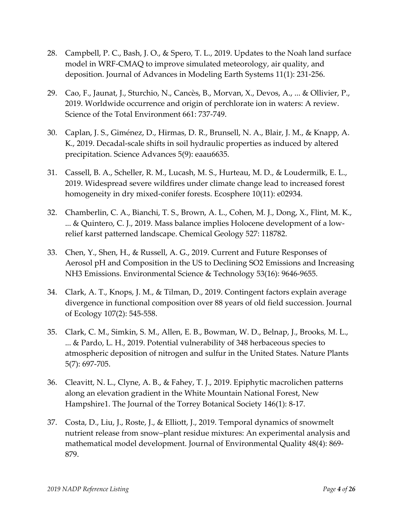- 28. Campbell, P. C., Bash, J. O., & Spero, T. L., 2019. Updates to the Noah land surface model in WRF‐CMAQ to improve simulated meteorology, air quality, and deposition. Journal of Advances in Modeling Earth Systems 11(1): 231-256.
- 29. Cao, F., Jaunat, J., Sturchio, N., Cancès, B., Morvan, X., Devos, A., ... & Ollivier, P., 2019. Worldwide occurrence and origin of perchlorate ion in waters: A review. Science of the Total Environment 661: 737-749.
- 30. Caplan, J. S., Giménez, D., Hirmas, D. R., Brunsell, N. A., Blair, J. M., & Knapp, A. K., 2019. Decadal-scale shifts in soil hydraulic properties as induced by altered precipitation. Science Advances 5(9): eaau6635.
- 31. Cassell, B. A., Scheller, R. M., Lucash, M. S., Hurteau, M. D., & Loudermilk, E. L., 2019. Widespread severe wildfires under climate change lead to increased forest homogeneity in dry mixed-conifer forests. Ecosphere 10(11): e02934.
- 32. Chamberlin, C. A., Bianchi, T. S., Brown, A. L., Cohen, M. J., Dong, X., Flint, M. K., ... & Quintero, C. J., 2019. Mass balance implies Holocene development of a lowrelief karst patterned landscape. Chemical Geology 527: 118782.
- 33. Chen, Y., Shen, H., & Russell, A. G., 2019. Current and Future Responses of Aerosol pH and Composition in the US to Declining SO2 Emissions and Increasing NH3 Emissions. Environmental Science & Technology 53(16): 9646-9655.
- 34. Clark, A. T., Knops, J. M., & Tilman, D., 2019. Contingent factors explain average divergence in functional composition over 88 years of old field succession. Journal of Ecology 107(2): 545-558.
- 35. Clark, C. M., Simkin, S. M., Allen, E. B., Bowman, W. D., Belnap, J., Brooks, M. L., ... & Pardo, L. H., 2019. Potential vulnerability of 348 herbaceous species to atmospheric deposition of nitrogen and sulfur in the United States. Nature Plants 5(7): 697-705.
- 36. Cleavitt, N. L., Clyne, A. B., & Fahey, T. J., 2019. Epiphytic macrolichen patterns along an elevation gradient in the White Mountain National Forest, New Hampshire1. The Journal of the Torrey Botanical Society 146(1): 8-17.
- 37. Costa, D., Liu, J., Roste, J., & Elliott, J., 2019. Temporal dynamics of snowmelt nutrient release from snow–plant residue mixtures: An experimental analysis and mathematical model development. Journal of Environmental Quality 48(4): 869- 879.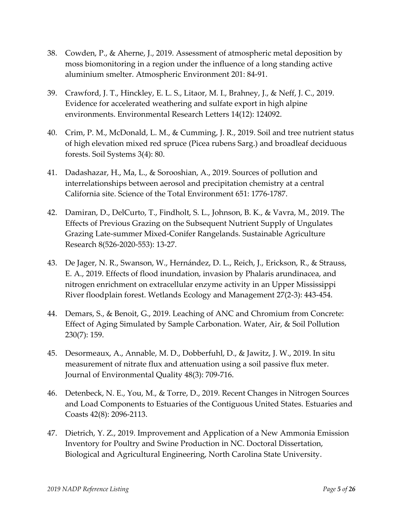- 38. Cowden, P., & Aherne, J., 2019. Assessment of atmospheric metal deposition by moss biomonitoring in a region under the influence of a long standing active aluminium smelter. Atmospheric Environment 201: 84-91.
- 39. Crawford, J. T., Hinckley, E. L. S., Litaor, M. I., Brahney, J., & Neff, J. C., 2019. Evidence for accelerated weathering and sulfate export in high alpine environments. Environmental Research Letters 14(12): 124092.
- 40. Crim, P. M., McDonald, L. M., & Cumming, J. R., 2019. Soil and tree nutrient status of high elevation mixed red spruce (Picea rubens Sarg.) and broadleaf deciduous forests. Soil Systems 3(4): 80.
- 41. Dadashazar, H., Ma, L., & Sorooshian, A., 2019. Sources of pollution and interrelationships between aerosol and precipitation chemistry at a central California site. Science of the Total Environment 651: 1776-1787.
- 42. Damiran, D., DelCurto, T., Findholt, S. L., Johnson, B. K., & Vavra, M., 2019. The Effects of Previous Grazing on the Subsequent Nutrient Supply of Ungulates Grazing Late-summer Mixed-Conifer Rangelands. Sustainable Agriculture Research 8(526-2020-553): 13-27.
- 43. De Jager, N. R., Swanson, W., Hernández, D. L., Reich, J., Erickson, R., & Strauss, E. A., 2019. Effects of flood inundation, invasion by Phalaris arundinacea, and nitrogen enrichment on extracellular enzyme activity in an Upper Mississippi River floodplain forest. Wetlands Ecology and Management 27(2-3): 443-454.
- 44. Demars, S., & Benoit, G., 2019. Leaching of ANC and Chromium from Concrete: Effect of Aging Simulated by Sample Carbonation. Water, Air, & Soil Pollution 230(7): 159.
- 45. Desormeaux, A., Annable, M. D., Dobberfuhl, D., & Jawitz, J. W., 2019. In situ measurement of nitrate flux and attenuation using a soil passive flux meter. Journal of Environmental Quality 48(3): 709-716.
- 46. Detenbeck, N. E., You, M., & Torre, D., 2019. Recent Changes in Nitrogen Sources and Load Components to Estuaries of the Contiguous United States. Estuaries and Coasts 42(8): 2096-2113.
- 47. Dietrich, Y. Z., 2019. Improvement and Application of a New Ammonia Emission Inventory for Poultry and Swine Production in NC. Doctoral Dissertation, Biological and Agricultural Engineering, North Carolina State University.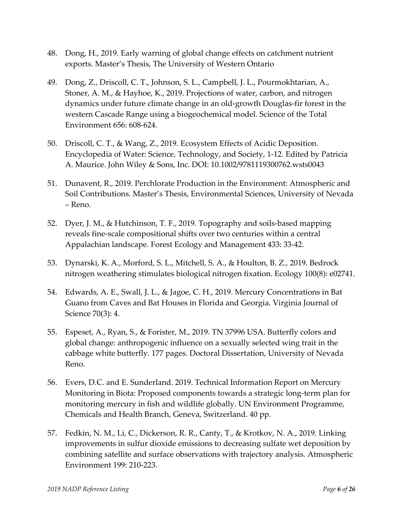- 48. Dong, H., 2019. Early warning of global change effects on catchment nutrient exports. Master's Thesis, The University of Western Ontario
- 49. Dong, Z., Driscoll, C. T., Johnson, S. L., Campbell, J. L., Pourmokhtarian, A., Stoner, A. M., & Hayhoe, K., 2019. Projections of water, carbon, and nitrogen dynamics under future climate change in an old-growth Douglas-fir forest in the western Cascade Range using a biogeochemical model. Science of the Total Environment 656: 608-624.
- 50. Driscoll, C. T., & Wang, Z., 2019. Ecosystem Effects of Acidic Deposition. Encyclopedia of Water: Science, Technology, and Society, 1-12. Edited by Patricia A. Maurice. John Wiley & Sons, Inc. DOI: 10.1002/9781119300762.wsts0043
- 51. Dunavent, R., 2019. Perchlorate Production in the Environment: Atmospheric and Soil Contributions. Master's Thesis, Environmental Sciences, University of Nevada – Reno.
- 52. Dyer, J. M., & Hutchinson, T. F., 2019. Topography and soils-based mapping reveals fine-scale compositional shifts over two centuries within a central Appalachian landscape. Forest Ecology and Management 433: 33-42.
- 53. Dynarski, K. A., Morford, S. L., Mitchell, S. A., & Houlton, B. Z., 2019. Bedrock nitrogen weathering stimulates biological nitrogen fixation. Ecology 100(8): e02741.
- 54. Edwards, A. E., Swall, J. L., & Jagoe, C. H., 2019. Mercury Concentrations in Bat Guano from Caves and Bat Houses in Florida and Georgia. Virginia Journal of Science 70(3): 4.
- 55. Espeset, A., Ryan, S., & Forister, M., 2019. TN 37996 USA. Butterfly colors and global change: anthropogenic influence on a sexually selected wing trait in the cabbage white butterfly. 177 pages. Doctoral Dissertation, University of Nevada Reno.
- 56. Evers, D.C. and E. Sunderland. 2019. Technical Information Report on Mercury Monitoring in Biota: Proposed components towards a strategic long-term plan for monitoring mercury in fish and wildlife globally. UN Environment Programme, Chemicals and Health Branch, Geneva, Switzerland. 40 pp.
- 57. Fedkin, N. M., Li, C., Dickerson, R. R., Canty, T., & Krotkov, N. A., 2019. Linking improvements in sulfur dioxide emissions to decreasing sulfate wet deposition by combining satellite and surface observations with trajectory analysis. Atmospheric Environment 199: 210-223.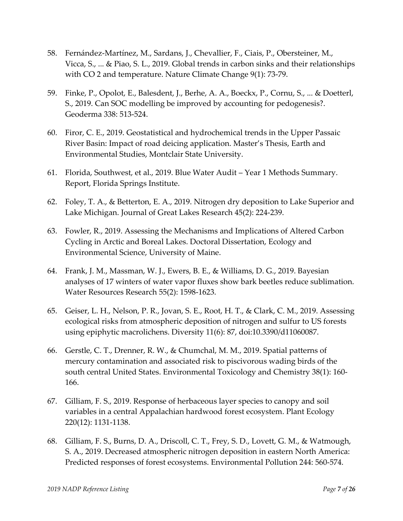- 58. Fernández-Martínez, M., Sardans, J., Chevallier, F., Ciais, P., Obersteiner, M., Vicca, S., ... & Piao, S. L., 2019. Global trends in carbon sinks and their relationships with CO 2 and temperature. Nature Climate Change 9(1): 73-79.
- 59. Finke, P., Opolot, E., Balesdent, J., Berhe, A. A., Boeckx, P., Cornu, S., ... & Doetterl, S., 2019. Can SOC modelling be improved by accounting for pedogenesis?. Geoderma 338: 513-524.
- 60. Firor, C. E., 2019. Geostatistical and hydrochemical trends in the Upper Passaic River Basin: Impact of road deicing application. Master's Thesis, Earth and Environmental Studies, Montclair State University.
- 61. Florida, Southwest, et al., 2019. Blue Water Audit Year 1 Methods Summary. Report, Florida Springs Institute.
- 62. Foley, T. A., & Betterton, E. A., 2019. Nitrogen dry deposition to Lake Superior and Lake Michigan. Journal of Great Lakes Research 45(2): 224-239.
- 63. Fowler, R., 2019. Assessing the Mechanisms and Implications of Altered Carbon Cycling in Arctic and Boreal Lakes. Doctoral Dissertation, Ecology and Environmental Science, University of Maine.
- 64. Frank, J. M., Massman, W. J., Ewers, B. E., & Williams, D. G., 2019. Bayesian analyses of 17 winters of water vapor fluxes show bark beetles reduce sublimation. Water Resources Research 55(2): 1598-1623.
- 65. Geiser, L. H., Nelson, P. R., Jovan, S. E., Root, H. T., & Clark, C. M., 2019. Assessing ecological risks from atmospheric deposition of nitrogen and sulfur to US forests using epiphytic macrolichens. Diversity 11(6): 87, doi:10.3390/d11060087.
- 66. Gerstle, C. T., Drenner, R. W., & Chumchal, M. M., 2019. Spatial patterns of mercury contamination and associated risk to piscivorous wading birds of the south central United States. Environmental Toxicology and Chemistry 38(1): 160- 166.
- 67. Gilliam, F. S., 2019. Response of herbaceous layer species to canopy and soil variables in a central Appalachian hardwood forest ecosystem. Plant Ecology 220(12): 1131-1138.
- 68. Gilliam, F. S., Burns, D. A., Driscoll, C. T., Frey, S. D., Lovett, G. M., & Watmough, S. A., 2019. Decreased atmospheric nitrogen deposition in eastern North America: Predicted responses of forest ecosystems. Environmental Pollution 244: 560-574.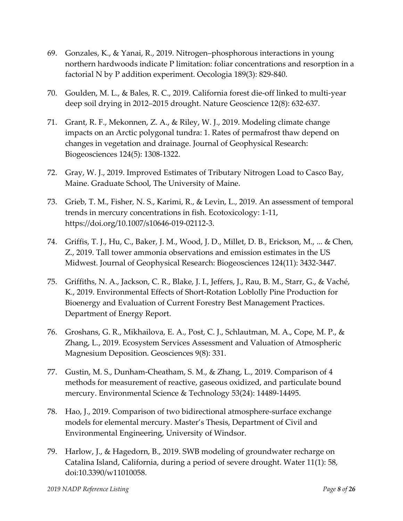- 69. Gonzales, K., & Yanai, R., 2019. Nitrogen–phosphorous interactions in young northern hardwoods indicate P limitation: foliar concentrations and resorption in a factorial N by P addition experiment. Oecologia 189(3): 829-840.
- 70. Goulden, M. L., & Bales, R. C., 2019. California forest die-off linked to multi-year deep soil drying in 2012–2015 drought. Nature Geoscience 12(8): 632-637.
- 71. Grant, R. F., Mekonnen, Z. A., & Riley, W. J., 2019. Modeling climate change impacts on an Arctic polygonal tundra: 1. Rates of permafrost thaw depend on changes in vegetation and drainage. Journal of Geophysical Research: Biogeosciences 124(5): 1308-1322.
- 72. Gray, W. J., 2019. Improved Estimates of Tributary Nitrogen Load to Casco Bay, Maine. Graduate School, The University of Maine.
- 73. Grieb, T. M., Fisher, N. S., Karimi, R., & Levin, L., 2019. An assessment of temporal trends in mercury concentrations in fish. Ecotoxicology: 1-11, https://doi.org/10.1007/s10646-019-02112-3.
- 74. Griffis, T. J., Hu, C., Baker, J. M., Wood, J. D., Millet, D. B., Erickson, M., ... & Chen, Z., 2019. Tall tower ammonia observations and emission estimates in the US Midwest. Journal of Geophysical Research: Biogeosciences 124(11): 3432-3447.
- 75. Griffiths, N. A., Jackson, C. R., Blake, J. I., Jeffers, J., Rau, B. M., Starr, G., & Vaché, K., 2019. Environmental Effects of Short-Rotation Loblolly Pine Production for Bioenergy and Evaluation of Current Forestry Best Management Practices. Department of Energy Report.
- 76. Groshans, G. R., Mikhailova, E. A., Post, C. J., Schlautman, M. A., Cope, M. P., & Zhang, L., 2019. Ecosystem Services Assessment and Valuation of Atmospheric Magnesium Deposition. Geosciences 9(8): 331.
- 77. Gustin, M. S., Dunham-Cheatham, S. M., & Zhang, L., 2019. Comparison of 4 methods for measurement of reactive, gaseous oxidized, and particulate bound mercury. Environmental Science & Technology 53(24): 14489-14495.
- 78. Hao, J., 2019. Comparison of two bidirectional atmosphere-surface exchange models for elemental mercury. Master's Thesis, Department of Civil and Environmental Engineering, University of Windsor.
- 79. Harlow, J., & Hagedorn, B., 2019. SWB modeling of groundwater recharge on Catalina Island, California, during a period of severe drought. Water 11(1): 58, doi:10.3390/w11010058.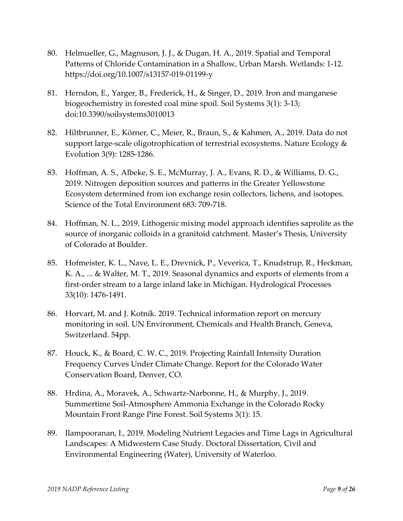- 80. Helmueller, G., Magnuson, J. J., & Dugan, H. A., 2019. Spatial and Temporal Patterns of Chloride Contamination in a Shallow, Urban Marsh. Wetlands: 1-12. https://doi.org/10.1007/s13157-019-01199-y
- 81. Herndon, E., Yarger, B., Frederick, H., & Singer, D., 2019. Iron and manganese biogeochemistry in forested coal mine spoil. Soil Systems 3(1): 3-13; doi:10.3390/soilsystems3010013
- 82. Hiltbrunner, E., Körner, C., Meier, R., Braun, S., & Kahmen, A., 2019. Data do not support large-scale oligotrophication of terrestrial ecosystems. Nature Ecology & Evolution 3(9): 1285-1286.
- 83. Hoffman, A. S., Albeke, S. E., McMurray, J. A., Evans, R. D., & Williams, D. G., 2019. Nitrogen deposition sources and patterns in the Greater Yellowstone Ecosystem determined from ion exchange resin collectors, lichens, and isotopes. Science of the Total Environment 683: 709-718.
- 84. Hoffman, N. L., 2019. Lithogenic mixing model approach identifies saprolite as the source of inorganic colloids in a granitoid catchment. Master's Thesis, University of Colorado at Boulder.
- 85. Hofmeister, K. L., Nave, L. E., Drevnick, P., Veverica, T., Knudstrup, R., Heckman, K. A., ... & Walter, M. T., 2019. Seasonal dynamics and exports of elements from a first‐order stream to a large inland lake in Michigan. Hydrological Processes 33(10): 1476-1491.
- 86. Horvart, M. and J. Kotnik. 2019. Technical information report on mercury monitoring in soil. UN Environment, Chemicals and Health Branch, Geneva, Switzerland. 54pp.
- 87. Houck, K., & Board, C. W. C., 2019. Projecting Rainfall Intensity Duration Frequency Curves Under Climate Change. Report for the Colorado Water Conservation Board, Denver, CO.
- 88. Hrdina, A., Moravek, A., Schwartz-Narbonne, H., & Murphy, J., 2019. Summertime Soil-Atmosphere Ammonia Exchange in the Colorado Rocky Mountain Front Range Pine Forest. Soil Systems 3(1): 15.
- 89. Ilampooranan, I., 2019. Modeling Nutrient Legacies and Time Lags in Agricultural Landscapes: A Midwestern Case Study. Doctoral Dissertation, Civil and Environmental Engineering (Water), University of Waterloo.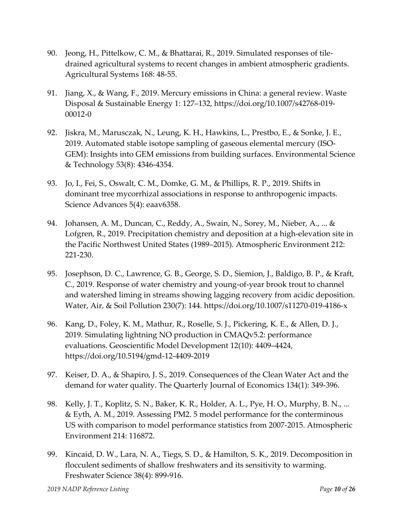- 90. Jeong, H., Pittelkow, C. M., & Bhattarai, R., 2019. Simulated responses of tiledrained agricultural systems to recent changes in ambient atmospheric gradients. Agricultural Systems 168: 48-55.
- 91. Jiang, X., & Wang, F., 2019. Mercury emissions in China: a general review. Waste Disposal & Sustainable Energy 1: 127–132, https://doi.org/10.1007/s42768-019- 00012-0
- 92. Jiskra, M., Marusczak, N., Leung, K. H., Hawkins, L., Prestbo, E., & Sonke, J. E., 2019. Automated stable isotope sampling of gaseous elemental mercury (ISO-GEM): Insights into GEM emissions from building surfaces. Environmental Science & Technology 53(8): 4346-4354.
- 93. Jo, I., Fei, S., Oswalt, C. M., Domke, G. M., & Phillips, R. P., 2019. Shifts in dominant tree mycorrhizal associations in response to anthropogenic impacts. Science Advances 5(4): eaav6358.
- 94. Johansen, A. M., Duncan, C., Reddy, A., Swain, N., Sorey, M., Nieber, A., ... & Lofgren, R., 2019. Precipitation chemistry and deposition at a high-elevation site in the Pacific Northwest United States (1989–2015). Atmospheric Environment 212: 221-230.
- 95. Josephson, D. C., Lawrence, G. B., George, S. D., Siemion, J., Baldigo, B. P., & Kraft, C., 2019. Response of water chemistry and young-of-year brook trout to channel and watershed liming in streams showing lagging recovery from acidic deposition. Water, Air, & Soil Pollution 230(7): 144. https://doi.org/10.1007/s11270-019-4186-x
- 96. Kang, D., Foley, K. M., Mathur, R., Roselle, S. J., Pickering, K. E., & Allen, D. J., 2019. Simulating lightning NO production in CMAQv5.2: performance evaluations. Geoscientific Model Development 12(10): 4409–4424, <https://doi.org/10.5194/gmd-12-4409-2019>
- 97. Keiser, D. A., & Shapiro, J. S., 2019. Consequences of the Clean Water Act and the demand for water quality. The Quarterly Journal of Economics 134(1): 349-396.
- 98. Kelly, J. T., Koplitz, S. N., Baker, K. R., Holder, A. L., Pye, H. O., Murphy, B. N., ... & Eyth, A. M., 2019. Assessing PM2. 5 model performance for the conterminous US with comparison to model performance statistics from 2007-2015. Atmospheric Environment 214: 116872.
- 99. Kincaid, D. W., Lara, N. A., Tiegs, S. D., & Hamilton, S. K., 2019. Decomposition in flocculent sediments of shallow freshwaters and its sensitivity to warming. Freshwater Science 38(4): 899-916.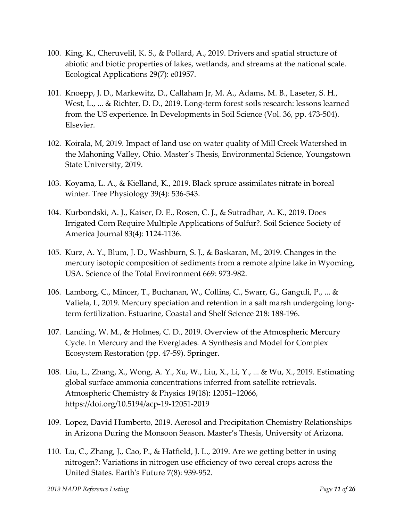- 100. King, K., Cheruvelil, K. S., & Pollard, A., 2019. Drivers and spatial structure of abiotic and biotic properties of lakes, wetlands, and streams at the national scale. Ecological Applications 29(7): e01957.
- 101. Knoepp, J. D., Markewitz, D., Callaham Jr, M. A., Adams, M. B., Laseter, S. H., West, L., ... & Richter, D. D., 2019. Long-term forest soils research: lessons learned from the US experience. In Developments in Soil Science (Vol. 36, pp. 473-504). Elsevier.
- 102. Koirala, M, 2019. Impact of land use on water quality of Mill Creek Watershed in the Mahoning Valley, Ohio. Master's Thesis, Environmental Science, Youngstown State University, 2019.
- 103. Koyama, L. A., & Kielland, K., 2019. Black spruce assimilates nitrate in boreal winter. Tree Physiology 39(4): 536-543.
- 104. Kurbondski, A. J., Kaiser, D. E., Rosen, C. J., & Sutradhar, A. K., 2019. Does Irrigated Corn Require Multiple Applications of Sulfur?. Soil Science Society of America Journal 83(4): 1124-1136.
- 105. Kurz, A. Y., Blum, J. D., Washburn, S. J., & Baskaran, M., 2019. Changes in the mercury isotopic composition of sediments from a remote alpine lake in Wyoming, USA. Science of the Total Environment 669: 973-982.
- 106. Lamborg, C., Mincer, T., Buchanan, W., Collins, C., Swarr, G., Ganguli, P., ... & Valiela, I., 2019. Mercury speciation and retention in a salt marsh undergoing longterm fertilization. Estuarine, Coastal and Shelf Science 218: 188-196.
- 107. Landing, W. M., & Holmes, C. D., 2019. Overview of the Atmospheric Mercury Cycle. In Mercury and the Everglades. A Synthesis and Model for Complex Ecosystem Restoration (pp. 47-59). Springer.
- 108. Liu, L., Zhang, X., Wong, A. Y., Xu, W., Liu, X., Li, Y., ... & Wu, X., 2019. Estimating global surface ammonia concentrations inferred from satellite retrievals. Atmospheric Chemistry & Physics 19(18): 12051–12066, https://doi.org/10.5194/acp-19-12051-2019
- 109. Lopez, David Humberto, 2019. Aerosol and Precipitation Chemistry Relationships in Arizona During the Monsoon Season. Master's Thesis, University of Arizona.
- 110. Lu, C., Zhang, J., Cao, P., & Hatfield, J. L., 2019. Are we getting better in using nitrogen?: Variations in nitrogen use efficiency of two cereal crops across the United States. Earth's Future 7(8): 939-952.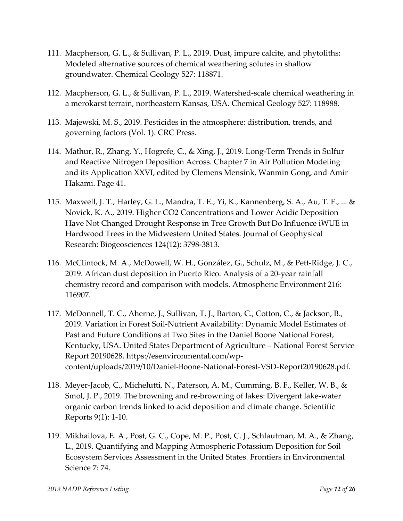- 111. Macpherson, G. L., & Sullivan, P. L., 2019. Dust, impure calcite, and phytoliths: Modeled alternative sources of chemical weathering solutes in shallow groundwater. Chemical Geology 527: 118871.
- 112. Macpherson, G. L., & Sullivan, P. L., 2019. Watershed-scale chemical weathering in a merokarst terrain, northeastern Kansas, USA. Chemical Geology 527: 118988.
- 113. Majewski, M. S., 2019. Pesticides in the atmosphere: distribution, trends, and governing factors (Vol. 1). CRC Press.
- 114. Mathur, R., Zhang, Y., Hogrefe, C., & Xing, J., 2019. Long-Term Trends in Sulfur and Reactive Nitrogen Deposition Across. Chapter 7 in Air Pollution Modeling and its Application XXVI, edited by Clemens Mensink, Wanmin Gong, and Amir Hakami. Page 41.
- 115. Maxwell, J. T., Harley, G. L., Mandra, T. E., Yi, K., Kannenberg, S. A., Au, T. F., ... & Novick, K. A., 2019. Higher CO2 Concentrations and Lower Acidic Deposition Have Not Changed Drought Response in Tree Growth But Do Influence iWUE in Hardwood Trees in the Midwestern United States. Journal of Geophysical Research: Biogeosciences 124(12): 3798-3813.
- 116. McClintock, M. A., McDowell, W. H., González, G., Schulz, M., & Pett-Ridge, J. C., 2019. African dust deposition in Puerto Rico: Analysis of a 20-year rainfall chemistry record and comparison with models. Atmospheric Environment 216: 116907.
- 117. McDonnell, T. C., Aherne, J., Sullivan, T. J., Barton, C., Cotton, C., & Jackson, B., 2019. Variation in Forest Soil-Nutrient Availability: Dynamic Model Estimates of Past and Future Conditions at Two Sites in the Daniel Boone National Forest, Kentucky, USA. United States Department of Agriculture – National Forest Service Report 20190628. [https://esenvironmental.com/wp](https://esenvironmental.com/wp-content/uploads/2019/10/Daniel-Boone-National-Forest-VSD-Report20190628.pdf)[content/uploads/2019/10/Daniel-Boone-National-Forest-VSD-Report20190628.pdf.](https://esenvironmental.com/wp-content/uploads/2019/10/Daniel-Boone-National-Forest-VSD-Report20190628.pdf)
- 118. Meyer-Jacob, C., Michelutti, N., Paterson, A. M., Cumming, B. F., Keller, W. B., & Smol, J. P., 2019. The browning and re-browning of lakes: Divergent lake-water organic carbon trends linked to acid deposition and climate change. Scientific Reports 9(1): 1-10.
- 119. Mikhailova, E. A., Post, G. C., Cope, M. P., Post, C. J., Schlautman, M. A., & Zhang, L., 2019. Quantifying and Mapping Atmospheric Potassium Deposition for Soil Ecosystem Services Assessment in the United States. Frontiers in Environmental Science 7: 74.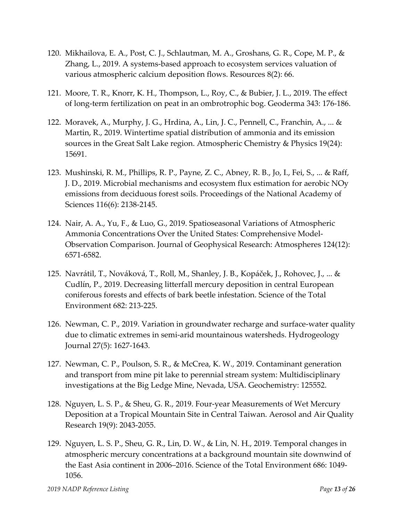- 120. Mikhailova, E. A., Post, C. J., Schlautman, M. A., Groshans, G. R., Cope, M. P., & Zhang, L., 2019. A systems-based approach to ecosystem services valuation of various atmospheric calcium deposition flows. Resources 8(2): 66.
- 121. Moore, T. R., Knorr, K. H., Thompson, L., Roy, C., & Bubier, J. L., 2019. The effect of long-term fertilization on peat in an ombrotrophic bog. Geoderma 343: 176-186.
- 122. Moravek, A., Murphy, J. G., Hrdina, A., Lin, J. C., Pennell, C., Franchin, A., ... & Martin, R., 2019. Wintertime spatial distribution of ammonia and its emission sources in the Great Salt Lake region. Atmospheric Chemistry & Physics 19(24): 15691.
- 123. Mushinski, R. M., Phillips, R. P., Payne, Z. C., Abney, R. B., Jo, I., Fei, S., ... & Raff, J. D., 2019. Microbial mechanisms and ecosystem flux estimation for aerobic NOy emissions from deciduous forest soils. Proceedings of the National Academy of Sciences 116(6): 2138-2145.
- 124. Nair, A. A., Yu, F., & Luo, G., 2019. Spatioseasonal Variations of Atmospheric Ammonia Concentrations Over the United States: Comprehensive Model‐ Observation Comparison. Journal of Geophysical Research: Atmospheres 124(12): 6571-6582.
- 125. Navrátil, T., Nováková, T., Roll, M., Shanley, J. B., Kopáček, J., Rohovec, J., ... & Cudlín, P., 2019. Decreasing litterfall mercury deposition in central European coniferous forests and effects of bark beetle infestation. Science of the Total Environment 682: 213-225.
- 126. Newman, C. P., 2019. Variation in groundwater recharge and surface-water quality due to climatic extremes in semi-arid mountainous watersheds. Hydrogeology Journal 27(5): 1627-1643.
- 127. Newman, C. P., Poulson, S. R., & McCrea, K. W., 2019. Contaminant generation and transport from mine pit lake to perennial stream system: Multidisciplinary investigations at the Big Ledge Mine, Nevada, USA. Geochemistry: 125552.
- 128. Nguyen, L. S. P., & Sheu, G. R., 2019. Four-year Measurements of Wet Mercury Deposition at a Tropical Mountain Site in Central Taiwan. Aerosol and Air Quality Research 19(9): 2043-2055.
- 129. Nguyen, L. S. P., Sheu, G. R., Lin, D. W., & Lin, N. H., 2019. Temporal changes in atmospheric mercury concentrations at a background mountain site downwind of the East Asia continent in 2006–2016. Science of the Total Environment 686: 1049- 1056.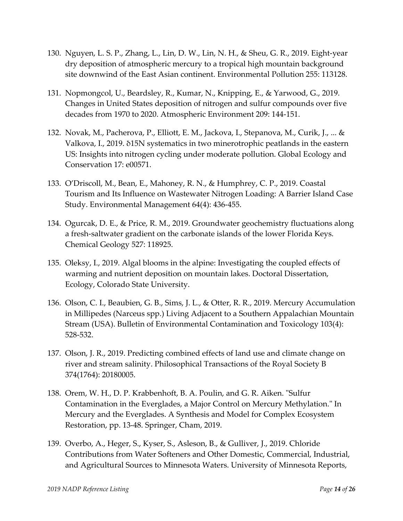- 130. Nguyen, L. S. P., Zhang, L., Lin, D. W., Lin, N. H., & Sheu, G. R., 2019. Eight-year dry deposition of atmospheric mercury to a tropical high mountain background site downwind of the East Asian continent. Environmental Pollution 255: 113128.
- 131. Nopmongcol, U., Beardsley, R., Kumar, N., Knipping, E., & Yarwood, G., 2019. Changes in United States deposition of nitrogen and sulfur compounds over five decades from 1970 to 2020. Atmospheric Environment 209: 144-151.
- 132. Novak, M., Pacherova, P., Elliott, E. M., Jackova, I., Stepanova, M., Curik, J., ... & Valkova, I., 2019. δ15N systematics in two minerotrophic peatlands in the eastern US: Insights into nitrogen cycling under moderate pollution. Global Ecology and Conservation 17: e00571.
- 133. O'Driscoll, M., Bean, E., Mahoney, R. N., & Humphrey, C. P., 2019. Coastal Tourism and Its Influence on Wastewater Nitrogen Loading: A Barrier Island Case Study. Environmental Management 64(4): 436-455.
- 134. Ogurcak, D. E., & Price, R. M., 2019. Groundwater geochemistry fluctuations along a fresh-saltwater gradient on the carbonate islands of the lower Florida Keys. Chemical Geology 527: 118925.
- 135. Oleksy, I., 2019. Algal blooms in the alpine: Investigating the coupled effects of warming and nutrient deposition on mountain lakes. Doctoral Dissertation, Ecology, Colorado State University.
- 136. Olson, C. I., Beaubien, G. B., Sims, J. L., & Otter, R. R., 2019. Mercury Accumulation in Millipedes (Narceus spp.) Living Adjacent to a Southern Appalachian Mountain Stream (USA). Bulletin of Environmental Contamination and Toxicology 103(4): 528-532.
- 137. Olson, J. R., 2019. Predicting combined effects of land use and climate change on river and stream salinity. Philosophical Transactions of the Royal Society B 374(1764): 20180005.
- 138. Orem, W. H., D. P. Krabbenhoft, B. A. Poulin, and G. R. Aiken. "Sulfur Contamination in the Everglades, a Major Control on Mercury Methylation." In Mercury and the Everglades. A Synthesis and Model for Complex Ecosystem Restoration, pp. 13-48. Springer, Cham, 2019.
- 139. Overbo, A., Heger, S., Kyser, S., Asleson, B., & Gulliver, J., 2019. Chloride Contributions from Water Softeners and Other Domestic, Commercial, Industrial, and Agricultural Sources to Minnesota Waters. University of Minnesota Reports,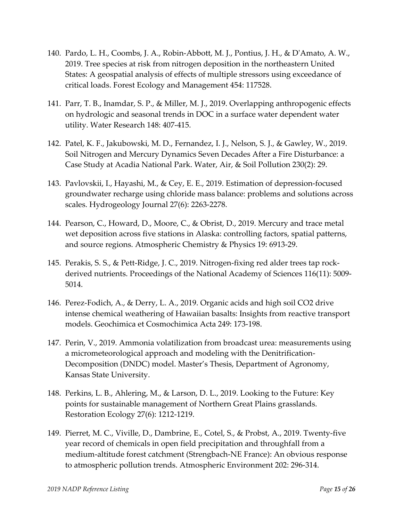- 140. Pardo, L. H., Coombs, J. A., Robin-Abbott, M. J., Pontius, J. H., & D'Amato, A. W., 2019. Tree species at risk from nitrogen deposition in the northeastern United States: A geospatial analysis of effects of multiple stressors using exceedance of critical loads. Forest Ecology and Management 454: 117528.
- 141. Parr, T. B., Inamdar, S. P., & Miller, M. J., 2019. Overlapping anthropogenic effects on hydrologic and seasonal trends in DOC in a surface water dependent water utility. Water Research 148: 407-415.
- 142. Patel, K. F., Jakubowski, M. D., Fernandez, I. J., Nelson, S. J., & Gawley, W., 2019. Soil Nitrogen and Mercury Dynamics Seven Decades After a Fire Disturbance: a Case Study at Acadia National Park. Water, Air, & Soil Pollution 230(2): 29.
- 143. Pavlovskii, I., Hayashi, M., & Cey, E. E., 2019. Estimation of depression-focused groundwater recharge using chloride mass balance: problems and solutions across scales. Hydrogeology Journal 27(6): 2263-2278.
- 144. Pearson, C., Howard, D., Moore, C., & Obrist, D., 2019. Mercury and trace metal wet deposition across five stations in Alaska: controlling factors, spatial patterns, and source regions. Atmospheric Chemistry & Physics 19: 6913-29.
- 145. Perakis, S. S., & Pett-Ridge, J. C., 2019. Nitrogen-fixing red alder trees tap rockderived nutrients. Proceedings of the National Academy of Sciences 116(11): 5009- 5014.
- 146. Perez-Fodich, A., & Derry, L. A., 2019. Organic acids and high soil CO2 drive intense chemical weathering of Hawaiian basalts: Insights from reactive transport models. Geochimica et Cosmochimica Acta 249: 173-198.
- 147. Perin, V., 2019. Ammonia volatilization from broadcast urea: measurements using a micrometeorological approach and modeling with the Denitrification-Decomposition (DNDC) model. Master's Thesis, Department of Agronomy, Kansas State University.
- 148. Perkins, L. B., Ahlering, M., & Larson, D. L., 2019. Looking to the Future: Key points for sustainable management of Northern Great Plains grasslands. Restoration Ecology 27(6): 1212-1219.
- 149. Pierret, M. C., Viville, D., Dambrine, E., Cotel, S., & Probst, A., 2019. Twenty-five year record of chemicals in open field precipitation and throughfall from a medium-altitude forest catchment (Strengbach-NE France): An obvious response to atmospheric pollution trends. Atmospheric Environment 202: 296-314.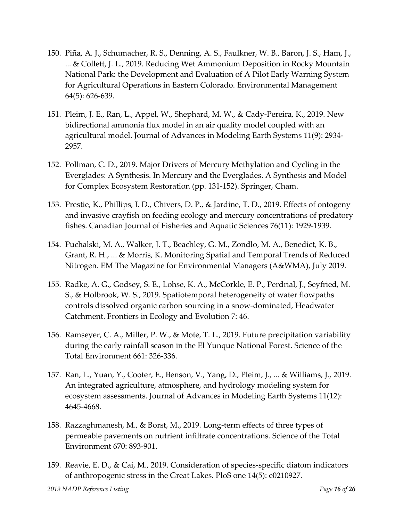- 150. Piña, A. J., Schumacher, R. S., Denning, A. S., Faulkner, W. B., Baron, J. S., Ham, J., ... & Collett, J. L., 2019. Reducing Wet Ammonium Deposition in Rocky Mountain National Park: the Development and Evaluation of A Pilot Early Warning System for Agricultural Operations in Eastern Colorado. Environmental Management 64(5): 626-639.
- 151. Pleim, J. E., Ran, L., Appel, W., Shephard, M. W., & Cady‐Pereira, K., 2019. New bidirectional ammonia flux model in an air quality model coupled with an agricultural model. Journal of Advances in Modeling Earth Systems 11(9): 2934- 2957.
- 152. Pollman, C. D., 2019. Major Drivers of Mercury Methylation and Cycling in the Everglades: A Synthesis. In Mercury and the Everglades. A Synthesis and Model for Complex Ecosystem Restoration (pp. 131-152). Springer, Cham.
- 153. Prestie, K., Phillips, I. D., Chivers, D. P., & Jardine, T. D., 2019. Effects of ontogeny and invasive crayfish on feeding ecology and mercury concentrations of predatory fishes. Canadian Journal of Fisheries and Aquatic Sciences 76(11): 1929-1939.
- 154. Puchalski, M. A., Walker, J. T., Beachley, G. M., Zondlo, M. A., Benedict, K. B., Grant, R. H., ... & Morris, K. Monitoring Spatial and Temporal Trends of Reduced Nitrogen. EM The Magazine for Environmental Managers (A&WMA), July 2019.
- 155. Radke, A. G., Godsey, S. E., Lohse, K. A., McCorkle, E. P., Perdrial, J., Seyfried, M. S., & Holbrook, W. S., 2019. Spatiotemporal heterogeneity of water flowpaths controls dissolved organic carbon sourcing in a snow-dominated, Headwater Catchment. Frontiers in Ecology and Evolution 7: 46.
- 156. Ramseyer, C. A., Miller, P. W., & Mote, T. L., 2019. Future precipitation variability during the early rainfall season in the El Yunque National Forest. Science of the Total Environment 661: 326-336.
- 157. Ran, L., Yuan, Y., Cooter, E., Benson, V., Yang, D., Pleim, J., ... & Williams, J., 2019. An integrated agriculture, atmosphere, and hydrology modeling system for ecosystem assessments. Journal of Advances in Modeling Earth Systems 11(12): 4645-4668.
- 158. Razzaghmanesh, M., & Borst, M., 2019. Long-term effects of three types of permeable pavements on nutrient infiltrate concentrations. Science of the Total Environment 670: 893-901.
- 159. Reavie, E. D., & Cai, M., 2019. Consideration of species-specific diatom indicators of anthropogenic stress in the Great Lakes. PloS one 14(5): e0210927.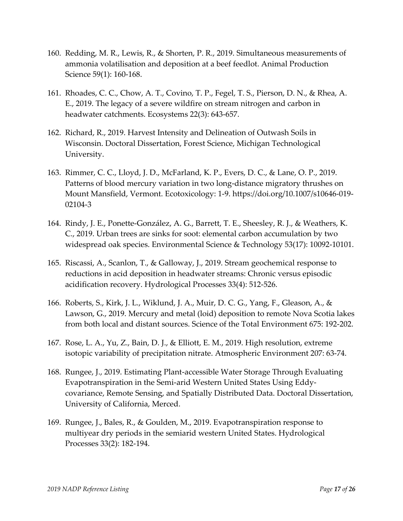- 160. Redding, M. R., Lewis, R., & Shorten, P. R., 2019. Simultaneous measurements of ammonia volatilisation and deposition at a beef feedlot. Animal Production Science 59(1): 160-168.
- 161. Rhoades, C. C., Chow, A. T., Covino, T. P., Fegel, T. S., Pierson, D. N., & Rhea, A. E., 2019. The legacy of a severe wildfire on stream nitrogen and carbon in headwater catchments. Ecosystems 22(3): 643-657.
- 162. Richard, R., 2019. Harvest Intensity and Delineation of Outwash Soils in Wisconsin. Doctoral Dissertation, Forest Science, Michigan Technological University.
- 163. Rimmer, C. C., Lloyd, J. D., McFarland, K. P., Evers, D. C., & Lane, O. P., 2019. Patterns of blood mercury variation in two long-distance migratory thrushes on Mount Mansfield, Vermont. Ecotoxicology: 1-9. https://doi.org/10.1007/s10646-019- 02104-3
- 164. Rindy, J. E., Ponette-González, A. G., Barrett, T. E., Sheesley, R. J., & Weathers, K. C., 2019. Urban trees are sinks for soot: elemental carbon accumulation by two widespread oak species. Environmental Science & Technology 53(17): 10092-10101.
- 165. Riscassi, A., Scanlon, T., & Galloway, J., 2019. Stream geochemical response to reductions in acid deposition in headwater streams: Chronic versus episodic acidification recovery. Hydrological Processes 33(4): 512-526.
- 166. Roberts, S., Kirk, J. L., Wiklund, J. A., Muir, D. C. G., Yang, F., Gleason, A., & Lawson, G., 2019. Mercury and metal (loid) deposition to remote Nova Scotia lakes from both local and distant sources. Science of the Total Environment 675: 192-202.
- 167. Rose, L. A., Yu, Z., Bain, D. J., & Elliott, E. M., 2019. High resolution, extreme isotopic variability of precipitation nitrate. Atmospheric Environment 207: 63-74.
- 168. Rungee, J., 2019. Estimating Plant-accessible Water Storage Through Evaluating Evapotranspiration in the Semi-arid Western United States Using Eddycovariance, Remote Sensing, and Spatially Distributed Data. Doctoral Dissertation, University of California, Merced.
- 169. Rungee, J., Bales, R., & Goulden, M., 2019. Evapotranspiration response to multiyear dry periods in the semiarid western United States. Hydrological Processes 33(2): 182-194.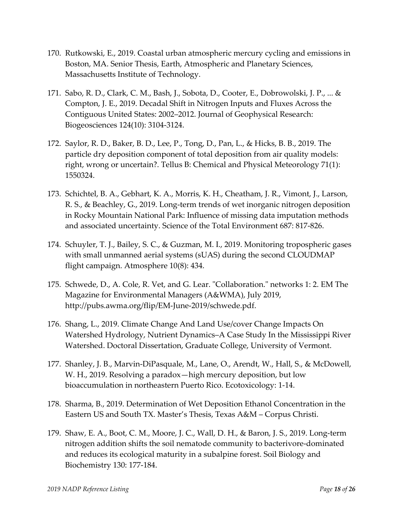- 170. Rutkowski, E., 2019. Coastal urban atmospheric mercury cycling and emissions in Boston, MA. Senior Thesis, Earth, Atmospheric and Planetary Sciences, Massachusetts Institute of Technology.
- 171. Sabo, R. D., Clark, C. M., Bash, J., Sobota, D., Cooter, E., Dobrowolski, J. P., ... & Compton, J. E., 2019. Decadal Shift in Nitrogen Inputs and Fluxes Across the Contiguous United States: 2002–2012. Journal of Geophysical Research: Biogeosciences 124(10): 3104-3124.
- 172. Saylor, R. D., Baker, B. D., Lee, P., Tong, D., Pan, L., & Hicks, B. B., 2019. The particle dry deposition component of total deposition from air quality models: right, wrong or uncertain?. Tellus B: Chemical and Physical Meteorology 71(1): 1550324.
- 173. Schichtel, B. A., Gebhart, K. A., Morris, K. H., Cheatham, J. R., Vimont, J., Larson, R. S., & Beachley, G., 2019. Long-term trends of wet inorganic nitrogen deposition in Rocky Mountain National Park: Influence of missing data imputation methods and associated uncertainty. Science of the Total Environment 687: 817-826.
- 174. Schuyler, T. J., Bailey, S. C., & Guzman, M. I., 2019. Monitoring tropospheric gases with small unmanned aerial systems (sUAS) during the second CLOUDMAP flight campaign. Atmosphere 10(8): 434.
- 175. Schwede, D., A. Cole, R. Vet, and G. Lear. "Collaboration." networks 1: 2. EM The Magazine for Environmental Managers (A&WMA), July 2019, [http://pubs.awma.org/flip/EM-June-2019/schwede.pdf.](http://pubs.awma.org/flip/EM-June-2019/schwede.pdf)
- 176. Shang, L., 2019. Climate Change And Land Use/cover Change Impacts On Watershed Hydrology, Nutrient Dynamics–A Case Study In the Mississippi River Watershed. Doctoral Dissertation, Graduate College, University of Vermont.
- 177. Shanley, J. B., Marvin-DiPasquale, M., Lane, O., Arendt, W., Hall, S., & McDowell, W. H., 2019. Resolving a paradox—high mercury deposition, but low bioaccumulation in northeastern Puerto Rico. Ecotoxicology: 1-14.
- 178. Sharma, B., 2019. Determination of Wet Deposition Ethanol Concentration in the Eastern US and South TX. Master's Thesis, Texas A&M – Corpus Christi.
- 179. Shaw, E. A., Boot, C. M., Moore, J. C., Wall, D. H., & Baron, J. S., 2019. Long-term nitrogen addition shifts the soil nematode community to bacterivore-dominated and reduces its ecological maturity in a subalpine forest. Soil Biology and Biochemistry 130: 177-184.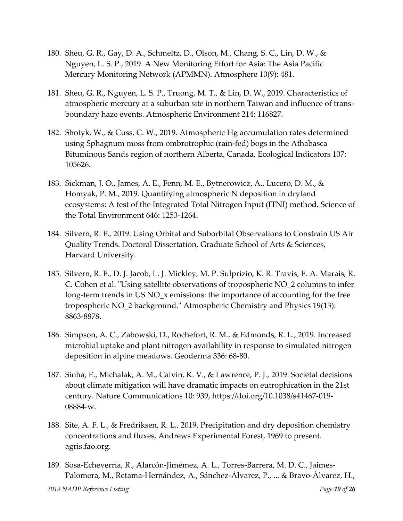- 180. Sheu, G. R., Gay, D. A., Schmeltz, D., Olson, M., Chang, S. C., Lin, D. W., & Nguyen, L. S. P., 2019. A New Monitoring Effort for Asia: The Asia Pacific Mercury Monitoring Network (APMMN). Atmosphere 10(9): 481.
- 181. Sheu, G. R., Nguyen, L. S. P., Truong, M. T., & Lin, D. W., 2019. Characteristics of atmospheric mercury at a suburban site in northern Taiwan and influence of transboundary haze events. Atmospheric Environment 214: 116827.
- 182. Shotyk, W., & Cuss, C. W., 2019. Atmospheric Hg accumulation rates determined using Sphagnum moss from ombrotrophic (rain-fed) bogs in the Athabasca Bituminous Sands region of northern Alberta, Canada. Ecological Indicators 107: 105626.
- 183. Sickman, J. O., James, A. E., Fenn, M. E., Bytnerowicz, A., Lucero, D. M., & Homyak, P. M., 2019. Quantifying atmospheric N deposition in dryland ecosystems: A test of the Integrated Total Nitrogen Input (ITNI) method. Science of the Total Environment 646: 1253-1264.
- 184. Silvern, R. F., 2019. Using Orbital and Suborbital Observations to Constrain US Air Quality Trends. Doctoral Dissertation, Graduate School of Arts & Sciences, Harvard University.
- 185. Silvern, R. F., D. J. Jacob, L. J. Mickley, M. P. Sulprizio, K. R. Travis, E. A. Marais, R. C. Cohen et al. "Using satellite observations of tropospheric NO\_2 columns to infer long-term trends in US NO\_x emissions: the importance of accounting for the free tropospheric NO\_2 background." Atmospheric Chemistry and Physics 19(13): 8863-8878.
- 186. Simpson, A. C., Zabowski, D., Rochefort, R. M., & Edmonds, R. L., 2019. Increased microbial uptake and plant nitrogen availability in response to simulated nitrogen deposition in alpine meadows. Geoderma 336: 68-80.
- 187. Sinha, E., Michalak, A. M., Calvin, K. V., & Lawrence, P. J., 2019. Societal decisions about climate mitigation will have dramatic impacts on eutrophication in the 21st century. Nature Communications 10: 939, https://doi.org/10.1038/s41467-019- 08884-w.
- 188. Site, A. F. L., & Fredriksen, R. L., 2019. Precipitation and dry deposition chemistry concentrations and fluxes, Andrews Experimental Forest, 1969 to present. agris.fao.org.
- 189. Sosa-Echeverría, R., Alarcón-Jimémez, A. L., Torres-Barrera, M. D. C., Jaimes-Palomera, M., Retama-Hernández, A., Sánchez-Álvarez, P., ... & Bravo-Álvarez, H.,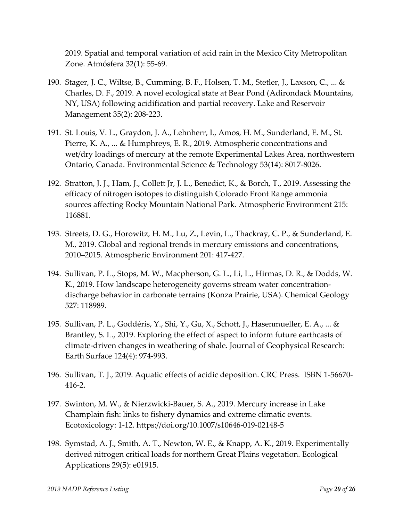2019. Spatial and temporal variation of acid rain in the Mexico City Metropolitan Zone. Atmósfera 32(1): 55-69.

- 190. Stager, J. C., Wiltse, B., Cumming, B. F., Holsen, T. M., Stetler, J., Laxson, C., ... & Charles, D. F., 2019. A novel ecological state at Bear Pond (Adirondack Mountains, NY, USA) following acidification and partial recovery. Lake and Reservoir Management 35(2): 208-223.
- 191. St. Louis, V. L., Graydon, J. A., Lehnherr, I., Amos, H. M., Sunderland, E. M., St. Pierre, K. A., ... & Humphreys, E. R., 2019. Atmospheric concentrations and wet/dry loadings of mercury at the remote Experimental Lakes Area, northwestern Ontario, Canada. Environmental Science & Technology 53(14): 8017-8026.
- 192. Stratton, J. J., Ham, J., Collett Jr, J. L., Benedict, K., & Borch, T., 2019. Assessing the efficacy of nitrogen isotopes to distinguish Colorado Front Range ammonia sources affecting Rocky Mountain National Park. Atmospheric Environment 215: 116881.
- 193. Streets, D. G., Horowitz, H. M., Lu, Z., Levin, L., Thackray, C. P., & Sunderland, E. M., 2019. Global and regional trends in mercury emissions and concentrations, 2010–2015. Atmospheric Environment 201: 417-427.
- 194. Sullivan, P. L., Stops, M. W., Macpherson, G. L., Li, L., Hirmas, D. R., & Dodds, W. K., 2019. How landscape heterogeneity governs stream water concentrationdischarge behavior in carbonate terrains (Konza Prairie, USA). Chemical Geology 527: 118989.
- 195. Sullivan, P. L., Goddéris, Y., Shi, Y., Gu, X., Schott, J., Hasenmueller, E. A., ... & Brantley, S. L., 2019. Exploring the effect of aspect to inform future earthcasts of climate‐driven changes in weathering of shale. Journal of Geophysical Research: Earth Surface 124(4): 974-993.
- 196. Sullivan, T. J., 2019. Aquatic effects of acidic deposition. CRC Press. ISBN 1-56670- 416-2.
- 197. Swinton, M. W., & Nierzwicki-Bauer, S. A., 2019. Mercury increase in Lake Champlain fish: links to fishery dynamics and extreme climatic events. Ecotoxicology: 1-12. https://doi.org/10.1007/s10646-019-02148-5
- 198. Symstad, A. J., Smith, A. T., Newton, W. E., & Knapp, A. K., 2019. Experimentally derived nitrogen critical loads for northern Great Plains vegetation. Ecological Applications 29(5): e01915.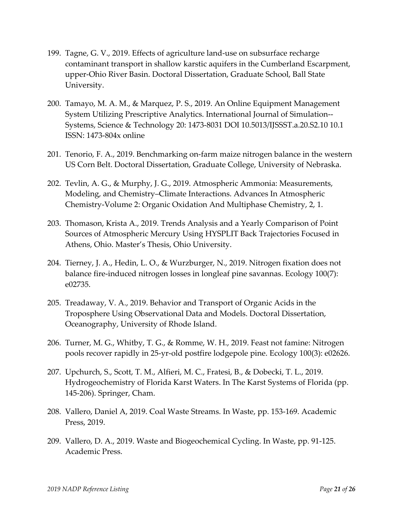- 199. Tagne, G. V., 2019. Effects of agriculture land-use on subsurface recharge contaminant transport in shallow karstic aquifers in the Cumberland Escarpment, upper-Ohio River Basin. Doctoral Dissertation, Graduate School, Ball State University.
- 200. Tamayo, M. A. M., & Marquez, P. S., 2019. An Online Equipment Management System Utilizing Prescriptive Analytics. International Journal of Simulation-- Systems, Science & Technology 20: 1473-8031 DOI 10.5013/IJSSST.a.20.S2.10 10.1 ISSN: 1473-804x online
- 201. Tenorio, F. A., 2019. Benchmarking on-farm maize nitrogen balance in the western US Corn Belt. Doctoral Dissertation, Graduate College, University of Nebraska.
- 202. Tevlin, A. G., & Murphy, J. G., 2019. Atmospheric Ammonia: Measurements, Modeling, and Chemistry–Climate Interactions. Advances In Atmospheric Chemistry-Volume 2: Organic Oxidation And Multiphase Chemistry, 2, 1.
- 203. Thomason, Krista A., 2019. Trends Analysis and a Yearly Comparison of Point Sources of Atmospheric Mercury Using HYSPLIT Back Trajectories Focused in Athens, Ohio. Master's Thesis, Ohio University.
- 204. Tierney, J. A., Hedin, L. O., & Wurzburger, N., 2019. Nitrogen fixation does not balance fire‐induced nitrogen losses in longleaf pine savannas. Ecology 100(7): e02735.
- 205. Treadaway, V. A., 2019. Behavior and Transport of Organic Acids in the Troposphere Using Observational Data and Models. Doctoral Dissertation, Oceanography, University of Rhode Island.
- 206. Turner, M. G., Whitby, T. G., & Romme, W. H., 2019. Feast not famine: Nitrogen pools recover rapidly in 25‐yr‐old postfire lodgepole pine. Ecology 100(3): e02626.
- 207. Upchurch, S., Scott, T. M., Alfieri, M. C., Fratesi, B., & Dobecki, T. L., 2019. Hydrogeochemistry of Florida Karst Waters. In The Karst Systems of Florida (pp. 145-206). Springer, Cham.
- 208. Vallero, Daniel A, 2019. Coal Waste Streams. In Waste, pp. 153-169. Academic Press, 2019.
- 209. Vallero, D. A., 2019. Waste and Biogeochemical Cycling. In Waste, pp. 91-125. Academic Press.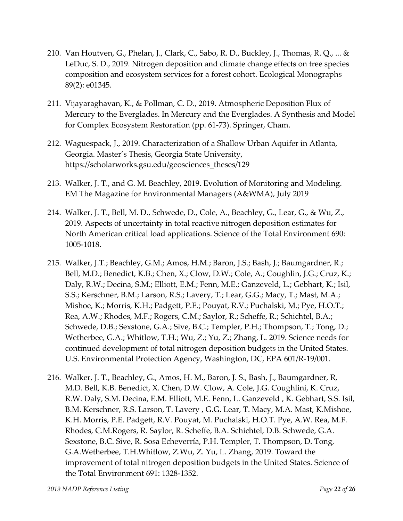- 210. Van Houtven, G., Phelan, J., Clark, C., Sabo, R. D., Buckley, J., Thomas, R. Q., ... & LeDuc, S. D., 2019. Nitrogen deposition and climate change effects on tree species composition and ecosystem services for a forest cohort. Ecological Monographs 89(2): e01345.
- 211. Vijayaraghavan, K., & Pollman, C. D., 2019. Atmospheric Deposition Flux of Mercury to the Everglades. In Mercury and the Everglades. A Synthesis and Model for Complex Ecosystem Restoration (pp. 61-73). Springer, Cham.
- 212. Waguespack, J., 2019. Characterization of a Shallow Urban Aquifer in Atlanta, Georgia. Master's Thesis, Georgia State University, https://scholarworks.gsu.edu/geosciences\_theses/129
- 213. Walker, J. T., and G. M. Beachley, 2019. Evolution of Monitoring and Modeling. EM The Magazine for Environmental Managers (A&WMA), July 2019
- 214. Walker, J. T., Bell, M. D., Schwede, D., Cole, A., Beachley, G., Lear, G., & Wu, Z., 2019. Aspects of uncertainty in total reactive nitrogen deposition estimates for North American critical load applications. Science of the Total Environment 690: 1005-1018.
- 215. Walker, J.T.; Beachley, G.M.; Amos, H.M.; Baron, J.S.; Bash, J.; Baumgardner, R.; Bell, M.D.; Benedict, K.B.; Chen, X.; Clow, D.W.; Cole, A.; Coughlin, J.G.; Cruz, K.; Daly, R.W.; Decina, S.M.; Elliott, E.M.; Fenn, M.E.; Ganzeveld, L.; Gebhart, K.; Isil, S.S.; Kerschner, B.M.; Larson, R.S.; Lavery, T.; Lear, G.G.; Macy, T.; Mast, M.A.; Mishoe, K.; Morris, K.H.; Padgett, P.E.; Pouyat, R.V.; Puchalski, M.; Pye, H.O.T.; Rea, A.W.; Rhodes, M.F.; Rogers, C.M.; Saylor, R.; Scheffe, R.; Schichtel, B.A.; Schwede, D.B.; Sexstone, G.A.; Sive, B.C.; Templer, P.H.; Thompson, T.; Tong, D.; Wetherbee, G.A.; Whitlow, T.H.; Wu, Z.; Yu, Z.; Zhang, L. 2019. Science needs for continued development of total nitrogen deposition budgets in the United States. U.S. Environmental Protection Agency, Washington, DC, EPA 601/R-19/001.
- 216. Walker, J. T., Beachley, G., Amos, H. M., Baron, J. S., Bash, J., Baumgardner, R, M.D. Bell, K.B. Benedict, X. Chen, D.W. Clow, A. Cole, J.G. Coughlini, K. Cruz, R.W. Daly, S.M. Decina, E.M. Elliott, M.E. Fenn, L. Ganzeveld , K. Gebhart, S.S. Isil, B.M. Kerschner, R.S. Larson, T. Lavery , G.G. Lear, T. Macy, M.A. Mast, K.Mishoe, K.H. Morris, P.E. Padgett, R.V. Pouyat, M. Puchalski, H.O.T. Pye, A.W. Rea, M.F. Rhodes, C.M.Rogers, R. Saylor, R. Scheffe, B.A. Schichtel, D.B. Schwede, G.A. Sexstone, B.C. Sive, R. Sosa Echeverría, P.H. Templer, T. Thompson, D. Tong, G.A.Wetherbee, T.H.Whitlow, Z.Wu, Z. Yu, L. Zhang, 2019. Toward the improvement of total nitrogen deposition budgets in the United States. Science of the Total Environment 691: 1328-1352.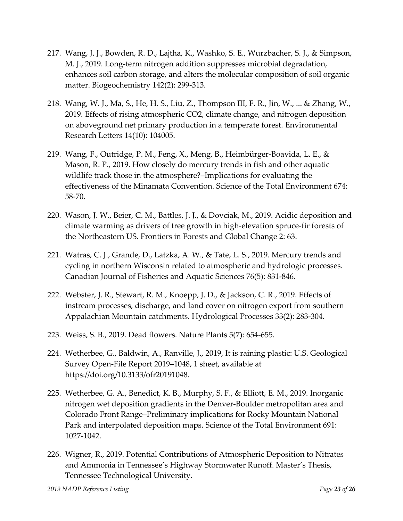- 217. Wang, J. J., Bowden, R. D., Lajtha, K., Washko, S. E., Wurzbacher, S. J., & Simpson, M. J., 2019. Long-term nitrogen addition suppresses microbial degradation, enhances soil carbon storage, and alters the molecular composition of soil organic matter. Biogeochemistry 142(2): 299-313.
- 218. Wang, W. J., Ma, S., He, H. S., Liu, Z., Thompson III, F. R., Jin, W., ... & Zhang, W., 2019. Effects of rising atmospheric CO2, climate change, and nitrogen deposition on aboveground net primary production in a temperate forest. Environmental Research Letters 14(10): 104005.
- 219. Wang, F., Outridge, P. M., Feng, X., Meng, B., Heimbürger-Boavida, L. E., & Mason, R. P., 2019. How closely do mercury trends in fish and other aquatic wildlife track those in the atmosphere?–Implications for evaluating the effectiveness of the Minamata Convention. Science of the Total Environment 674: 58-70.
- 220. Wason, J. W., Beier, C. M., Battles, J. J., & Dovciak, M., 2019. Acidic deposition and climate warming as drivers of tree growth in high-elevation spruce-fir forests of the Northeastern US. Frontiers in Forests and Global Change 2: 63.
- 221. Watras, C. J., Grande, D., Latzka, A. W., & Tate, L. S., 2019. Mercury trends and cycling in northern Wisconsin related to atmospheric and hydrologic processes. Canadian Journal of Fisheries and Aquatic Sciences 76(5): 831-846.
- 222. Webster, J. R., Stewart, R. M., Knoepp, J. D., & Jackson, C. R., 2019. Effects of instream processes, discharge, and land cover on nitrogen export from southern Appalachian Mountain catchments. Hydrological Processes 33(2): 283-304.
- 223. Weiss, S. B., 2019. Dead flowers. Nature Plants 5(7): 654-655.
- 224. Wetherbee, G., Baldwin, A., Ranville, J., 2019, It is raining plastic: U.S. Geological Survey Open-File Report 2019–1048, 1 sheet, available at https://doi.org/10.3133/ofr20191048.
- 225. Wetherbee, G. A., Benedict, K. B., Murphy, S. F., & Elliott, E. M., 2019. Inorganic nitrogen wet deposition gradients in the Denver-Boulder metropolitan area and Colorado Front Range–Preliminary implications for Rocky Mountain National Park and interpolated deposition maps. Science of the Total Environment 691: 1027-1042.
- 226. Wigner, R., 2019. Potential Contributions of Atmospheric Deposition to Nitrates and Ammonia in Tennessee's Highway Stormwater Runoff. Master's Thesis, Tennessee Technological University.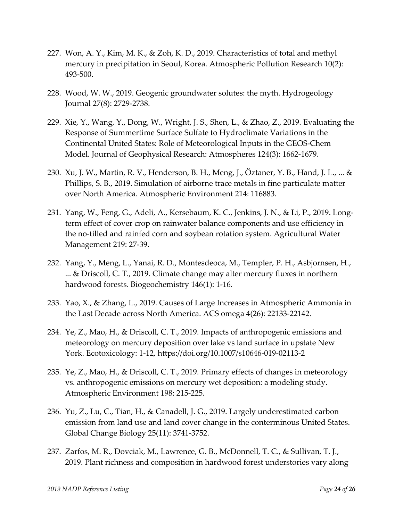- 227. Won, A. Y., Kim, M. K., & Zoh, K. D., 2019. Characteristics of total and methyl mercury in precipitation in Seoul, Korea. Atmospheric Pollution Research 10(2): 493-500.
- 228. Wood, W. W., 2019. Geogenic groundwater solutes: the myth. Hydrogeology Journal 27(8): 2729-2738.
- 229. Xie, Y., Wang, Y., Dong, W., Wright, J. S., Shen, L., & Zhao, Z., 2019. Evaluating the Response of Summertime Surface Sulfate to Hydroclimate Variations in the Continental United States: Role of Meteorological Inputs in the GEOS‐Chem Model. Journal of Geophysical Research: Atmospheres 124(3): 1662-1679.
- 230. Xu, J. W., Martin, R. V., Henderson, B. H., Meng, J., Öztaner, Y. B., Hand, J. L., ... & Phillips, S. B., 2019. Simulation of airborne trace metals in fine particulate matter over North America. Atmospheric Environment 214: 116883.
- 231. Yang, W., Feng, G., Adeli, A., Kersebaum, K. C., Jenkins, J. N., & Li, P., 2019. Longterm effect of cover crop on rainwater balance components and use efficiency in the no-tilled and rainfed corn and soybean rotation system. Agricultural Water Management 219: 27-39.
- 232. Yang, Y., Meng, L., Yanai, R. D., Montesdeoca, M., Templer, P. H., Asbjornsen, H., ... & Driscoll, C. T., 2019. Climate change may alter mercury fluxes in northern hardwood forests. Biogeochemistry 146(1): 1-16.
- 233. Yao, X., & Zhang, L., 2019. Causes of Large Increases in Atmospheric Ammonia in the Last Decade across North America. ACS omega 4(26): 22133-22142.
- 234. Ye, Z., Mao, H., & Driscoll, C. T., 2019. Impacts of anthropogenic emissions and meteorology on mercury deposition over lake vs land surface in upstate New York. Ecotoxicology: 1-12, https://doi.org/10.1007/s10646-019-02113-2
- 235. Ye, Z., Mao, H., & Driscoll, C. T., 2019. Primary effects of changes in meteorology vs. anthropogenic emissions on mercury wet deposition: a modeling study. Atmospheric Environment 198: 215-225.
- 236. Yu, Z., Lu, C., Tian, H., & Canadell, J. G., 2019. Largely underestimated carbon emission from land use and land cover change in the conterminous United States. Global Change Biology 25(11): 3741-3752.
- 237. Zarfos, M. R., Dovciak, M., Lawrence, G. B., McDonnell, T. C., & Sullivan, T. J., 2019. Plant richness and composition in hardwood forest understories vary along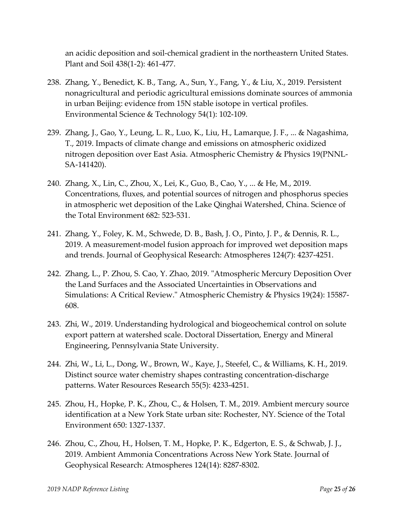an acidic deposition and soil-chemical gradient in the northeastern United States. Plant and Soil 438(1-2): 461-477.

- 238. Zhang, Y., Benedict, K. B., Tang, A., Sun, Y., Fang, Y., & Liu, X., 2019. Persistent nonagricultural and periodic agricultural emissions dominate sources of ammonia in urban Beijing: evidence from 15N stable isotope in vertical profiles. Environmental Science & Technology 54(1): 102-109.
- 239. Zhang, J., Gao, Y., Leung, L. R., Luo, K., Liu, H., Lamarque, J. F., ... & Nagashima, T., 2019. Impacts of climate change and emissions on atmospheric oxidized nitrogen deposition over East Asia. Atmospheric Chemistry & Physics 19(PNNL-SA-141420).
- 240. Zhang, X., Lin, C., Zhou, X., Lei, K., Guo, B., Cao, Y., ... & He, M., 2019. Concentrations, fluxes, and potential sources of nitrogen and phosphorus species in atmospheric wet deposition of the Lake Qinghai Watershed, China. Science of the Total Environment 682: 523-531.
- 241. Zhang, Y., Foley, K. M., Schwede, D. B., Bash, J. O., Pinto, J. P., & Dennis, R. L., 2019. A measurement‐model fusion approach for improved wet deposition maps and trends. Journal of Geophysical Research: Atmospheres 124(7): 4237-4251.
- 242. Zhang, L., P. Zhou, S. Cao, Y. Zhao, 2019. "Atmospheric Mercury Deposition Over the Land Surfaces and the Associated Uncertainties in Observations and Simulations: A Critical Review." Atmospheric Chemistry & Physics 19(24): 15587- 608.
- 243. Zhi, W., 2019. Understanding hydrological and biogeochemical control on solute export pattern at watershed scale. Doctoral Dissertation, Energy and Mineral Engineering, Pennsylvania State University.
- 244. Zhi, W., Li, L., Dong, W., Brown, W., Kaye, J., Steefel, C., & Williams, K. H., 2019. Distinct source water chemistry shapes contrasting concentration‐discharge patterns. Water Resources Research 55(5): 4233-4251.
- 245. Zhou, H., Hopke, P. K., Zhou, C., & Holsen, T. M., 2019. Ambient mercury source identification at a New York State urban site: Rochester, NY. Science of the Total Environment 650: 1327-1337.
- 246. Zhou, C., Zhou, H., Holsen, T. M., Hopke, P. K., Edgerton, E. S., & Schwab, J. J., 2019. Ambient Ammonia Concentrations Across New York State. Journal of Geophysical Research: Atmospheres 124(14): 8287-8302.